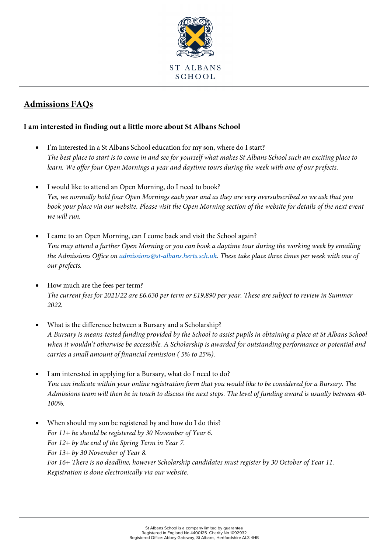

## **Admissions FAQs**

## **I am interested in finding out a little more about St Albans School**

- I'm interested in a St Albans School education for my son, where do I start? *The best place to start is to come in and see for yourself what makes St Albans School such an exciting place to learn. We offer four Open Mornings a year and daytime tours during the week with one of our prefects.*
- I would like to attend an Open Morning, do I need to book? *Yes, we normally hold four Open Mornings each year and as they are very oversubscribed so we ask that you book your place via our website. Please visit the Open Morning section of the website for details of the next event we will run.*
- I came to an Open Morning, can I come back and visit the School again? *You may attend a further Open Morning or you can book a daytime tour during the working week by emailing the Admissions Office o[n admissions@st-albans.herts.sch.uk.](mailto:admissions@st-albans.herts.sch.uk) These take place three times per week with one of our prefects.*
- How much are the fees per term? *The current fees for 2021/22 are £6,630 per term or £19,890 per year. These are subject to review in Summer 2022.*
- What is the difference between a Bursary and a Scholarship? *A Bursary is means-tested funding provided by the School to assist pupils in obtaining a place at St Albans School when it wouldn't otherwise be accessible. A Scholarship is awarded for outstanding performance or potential and carries a small amount of financial remission ( 5% to 25%).*
- I am interested in applying for a Bursary, what do I need to do? *You can indicate within your online registration form that you would like to be considered for a Bursary. The Admissions team will then be in touch to discuss the next steps. The level of funding award is usually between 40- 100%.*
- When should my son be registered by and how do I do this? *For 11+ he should be registered by 30 November of Year 6. For 12+ by the end of the Spring Term in Year 7. For 13+ by 30 November of Year 8. For 16+ There is no deadline, however Scholarship candidates must register by 30 October of Year 11. Registration is done electronically via our website.*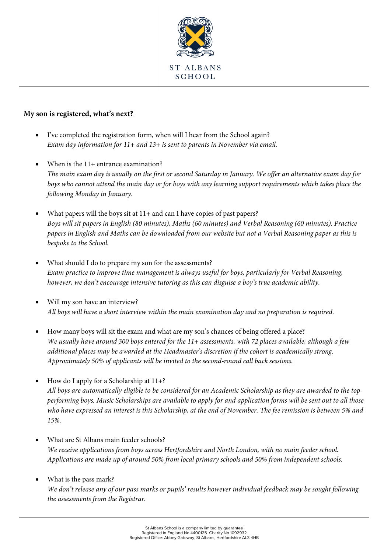

## **My son is registered, what's next?**

- I've completed the registration form, when will I hear from the School again? *Exam day information for 11+ and 13+ is sent to parents in November via email.*
- When is the 11+ entrance examination? *The main exam day is usually on the first or second Saturday in January. We offer an alternative exam day for boys who cannot attend the main day or for boys with any learning support requirements which takes place the following Monday in January.*
- What papers will the boys sit at 11+ and can I have copies of past papers? *Boys will sit papers in English (80 minutes), Maths (60 minutes) and Verbal Reasoning (60 minutes). Practice papers in English and Maths can be downloaded from our website but not a Verbal Reasoning paper as this is bespoke to the School.*
- What should I do to prepare my son for the assessments? *Exam practice to improve time management is always useful for boys, particularly for Verbal Reasoning, however, we don't encourage intensive tutoring as this can disguise a boy's true academic ability.*
- Will my son have an interview? *All boys will have a short interview within the main examination day and no preparation is required.*
- How many boys will sit the exam and what are my son's chances of being offered a place? *We usually have around 300 boys entered for the 11+ assessments, with 72 places available; although a few additional places may be awarded at the Headmaster's discretion if the cohort is academically strong. Approximately 50% of applicants will be invited to the second-round call back sessions.*
- How do I apply for a Scholarship at 11+? *All boys are automatically eligible to be considered for an Academic Scholarship as they are awarded to the topperforming boys. Music Scholarships are available to apply for and application forms will be sent out to all those who have expressed an interest is this Scholarship, at the end of November. The fee remission is between 5% and 15%.*
- What are St Albans main feeder schools? *We receive applications from boys across Hertfordshire and North London, with no main feeder school. Applications are made up of around 50% from local primary schools and 50% from independent schools.*
- What is the pass mark? *We don't release any of our pass marks or pupils' results however individual feedback may be sought following the assessments from the Registrar.*